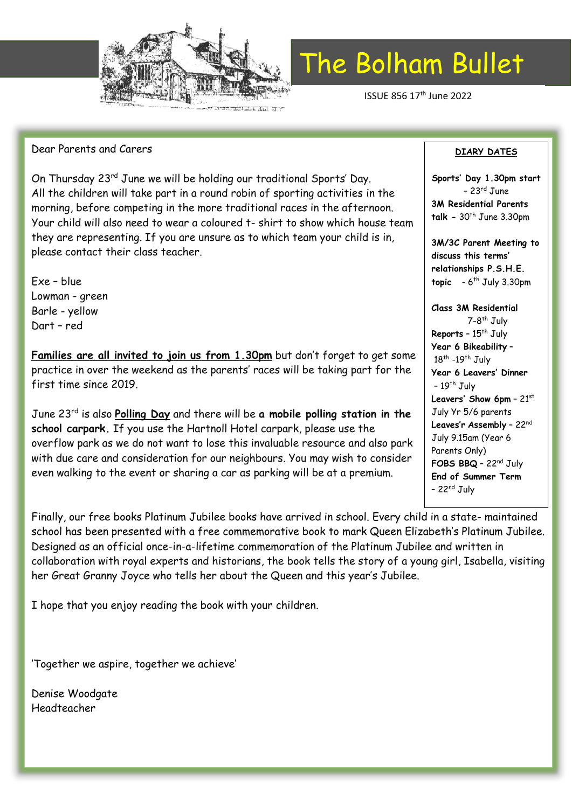

ISSUE 856 17th June 2022

#### Dear Parents and Carers

On Thursday 23rd June we will be holding our traditional Sports' Day. All the children will take part in a round robin of sporting activities in the morning, before competing in the more traditional races in the afternoon. Your child will also need to wear a coloured t- shirt to show which house team they are representing. If you are unsure as to which team your child is in, please contact their class teacher.

Exe – blue Lowman - green Barle - yellow Dart – red

**Families are all invited to join us from 1.30pm** but don't forget to get some practice in over the weekend as the parents' races will be taking part for the first time since 2019.

June 23rd is also **Polling Day** and there will be **a mobile polling station in the school carpark.** If you use the Hartnoll Hotel carpark, please use the overflow park as we do not want to lose this invaluable resource and also park with due care and consideration for our neighbours. You may wish to consider even walking to the event or sharing a car as parking will be at a premium.

Finally, our free books Platinum Jubilee books have arrived in school. Every child in a state- maintained school has been presented with a free commemorative book to mark Queen Elizabeth's Platinum Jubilee. Designed as an official once-in-a-lifetime commemoration of the Platinum Jubilee and written in collaboration with royal experts and historians, the book tells the story of a young girl, Isabella, visiting her Great Granny Joyce who tells her about the Queen and this year's Jubilee.

I hope that you enjoy reading the book with your children.

'Together we aspire, together we achieve'

Denise Woodgate Headteacher

#### **DIARY DATES**

**Sports' Day 1.30pm start**  $-23$ <sup>rd</sup> June **3M Residential Parents talk -** 30th June 3.30pm

**3M/3C Parent Meeting to discuss this terms' relationships P.S.H.E. topic** - 6<sup>th</sup> July 3.30pm

**Class 3M Residential** 7-8<sup>th</sup> July **Reports** - 15<sup>th</sup> July **Year 6 Bikeability** – 18<sup>th</sup> -19<sup>th</sup> July **Year 6 Leavers' Dinner**  $-19$ <sup>th</sup> July **Leavers' Show 6pm** – 21st July Yr 5/6 parents **Leaves'r Assembly** – 22nd July 9.15am (Year 6 Parents Only) **FOBS BBQ** – 22nd July **End of Summer Term**  $-22<sup>nd</sup>$  July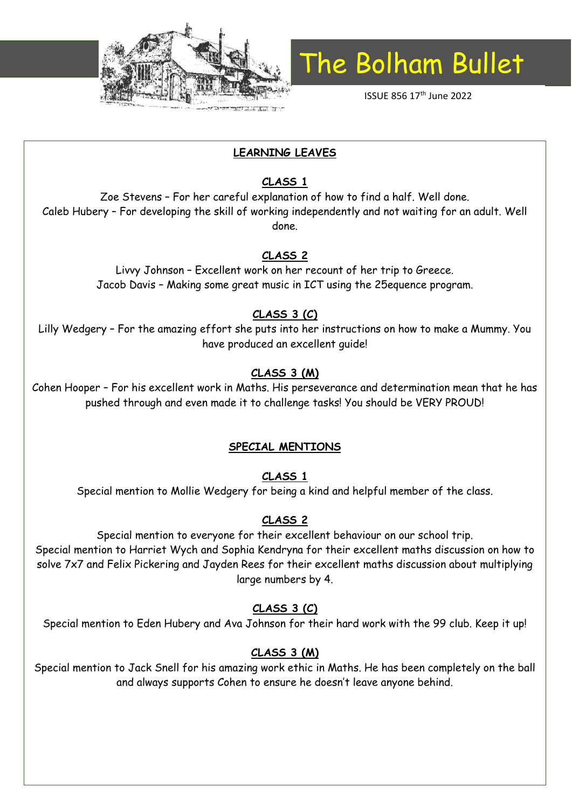

ISSUE 856 17th June 2022

#### **LEARNING LEAVES**

#### **CLASS 1**

Zoe Stevens – For her careful explanation of how to find a half. Well done. Caleb Hubery – For developing the skill of working independently and not waiting for an adult. Well done.

#### **CLASS 2**

Livvy Johnson – Excellent work on her recount of her trip to Greece. Jacob Davis – Making some great music in ICT using the 25equence program.

#### **CLASS 3 (C)**

Lilly Wedgery – For the amazing effort she puts into her instructions on how to make a Mummy. You have produced an excellent guide!

### **CLASS 3 (M)**

Cohen Hooper – For his excellent work in Maths. His perseverance and determination mean that he has pushed through and even made it to challenge tasks! You should be VERY PROUD!

#### **SPECIAL MENTIONS**

#### **CLASS 1**

Special mention to Mollie Wedgery for being a kind and helpful member of the class.

#### **CLASS 2**

Special mention to everyone for their excellent behaviour on our school trip. Special mention to Harriet Wych and Sophia Kendryna for their excellent maths discussion on how to solve 7x7 and Felix Pickering and Jayden Rees for their excellent maths discussion about multiplying large numbers by 4.

#### **CLASS 3 (C)**

Special mention to Eden Hubery and Ava Johnson for their hard work with the 99 club. Keep it up!

#### **CLASS 3 (M)**

Special mention to Jack Snell for his amazing work ethic in Maths. He has been completely on the ball and always supports Cohen to ensure he doesn't leave anyone behind.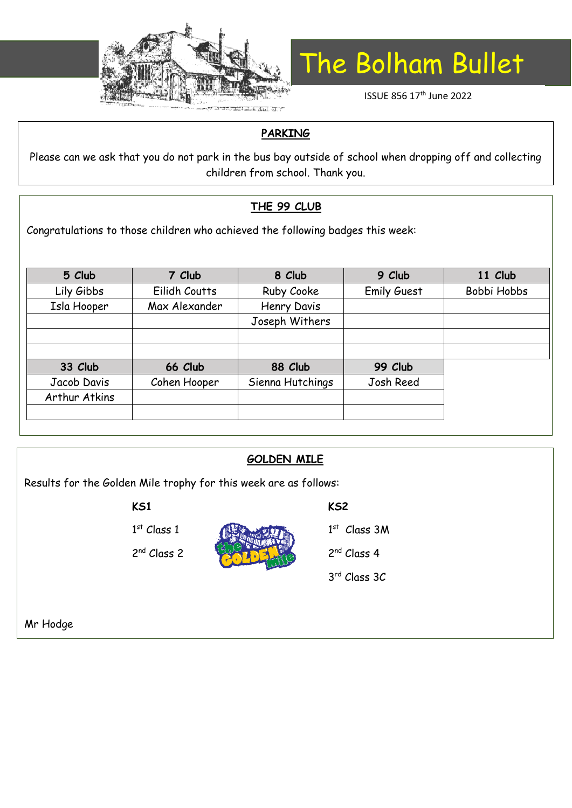

ISSUE 856 17<sup>th</sup> June 2022

#### **PARKING**

Please can we ask that you do not park in the bus bay outside of school when dropping off and collecting children from school. Thank you.

### **THE 99 CLUB**

Congratulations to those children who achieved the following badges this week:

| 7 Club        | 8 Club           | 9 Club             | 11 Club     |
|---------------|------------------|--------------------|-------------|
| Eilidh Coutts | Ruby Cooke       | <b>Emily Guest</b> | Bobbi Hobbs |
| Max Alexander | Henry Davis      |                    |             |
|               | Joseph Withers   |                    |             |
|               |                  |                    |             |
|               |                  |                    |             |
| 66 Club       | 88 Club          | 99 Club            |             |
| Cohen Hooper  | Sienna Hutchings | Josh Reed          |             |
|               |                  |                    |             |
|               |                  |                    |             |
|               |                  |                    |             |

| <b>GOLDEN MILE</b>                                               |                         |  |                         |  |  |  |
|------------------------------------------------------------------|-------------------------|--|-------------------------|--|--|--|
| Results for the Golden Mile trophy for this week are as follows: |                         |  |                         |  |  |  |
|                                                                  | <b>KS1</b>              |  | KS <sub>2</sub>         |  |  |  |
|                                                                  | $1st$ Class 1           |  | $1st$ Class 3M          |  |  |  |
|                                                                  | 2 <sup>nd</sup> Class 2 |  | 2 <sup>nd</sup> Class 4 |  |  |  |
|                                                                  |                         |  | 3rd Class 3C            |  |  |  |
|                                                                  |                         |  |                         |  |  |  |
| Mr Hodge                                                         |                         |  |                         |  |  |  |